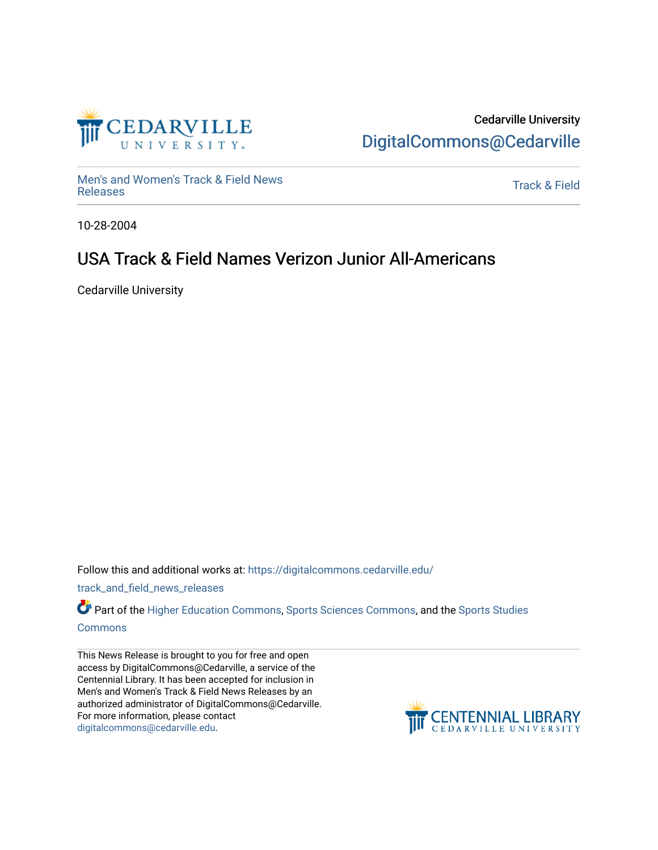

## Cedarville University [DigitalCommons@Cedarville](https://digitalcommons.cedarville.edu/)

[Men's and Women's Track & Field News](https://digitalcommons.cedarville.edu/track_and_field_news_releases)  wers and women's mack & Field News<br>[Releases](https://digitalcommons.cedarville.edu/track_and_field_news_releases) Track & Field

10-28-2004

## USA Track & Field Names Verizon Junior All-Americans

Cedarville University

Follow this and additional works at: [https://digitalcommons.cedarville.edu/](https://digitalcommons.cedarville.edu/track_and_field_news_releases?utm_source=digitalcommons.cedarville.edu%2Ftrack_and_field_news_releases%2F30&utm_medium=PDF&utm_campaign=PDFCoverPages)

[track\\_and\\_field\\_news\\_releases](https://digitalcommons.cedarville.edu/track_and_field_news_releases?utm_source=digitalcommons.cedarville.edu%2Ftrack_and_field_news_releases%2F30&utm_medium=PDF&utm_campaign=PDFCoverPages) 

Part of the [Higher Education Commons,](http://network.bepress.com/hgg/discipline/1245?utm_source=digitalcommons.cedarville.edu%2Ftrack_and_field_news_releases%2F30&utm_medium=PDF&utm_campaign=PDFCoverPages) [Sports Sciences Commons,](http://network.bepress.com/hgg/discipline/759?utm_source=digitalcommons.cedarville.edu%2Ftrack_and_field_news_releases%2F30&utm_medium=PDF&utm_campaign=PDFCoverPages) and the [Sports Studies](http://network.bepress.com/hgg/discipline/1198?utm_source=digitalcommons.cedarville.edu%2Ftrack_and_field_news_releases%2F30&utm_medium=PDF&utm_campaign=PDFCoverPages)  [Commons](http://network.bepress.com/hgg/discipline/1198?utm_source=digitalcommons.cedarville.edu%2Ftrack_and_field_news_releases%2F30&utm_medium=PDF&utm_campaign=PDFCoverPages)

This News Release is brought to you for free and open access by DigitalCommons@Cedarville, a service of the Centennial Library. It has been accepted for inclusion in Men's and Women's Track & Field News Releases by an authorized administrator of DigitalCommons@Cedarville. For more information, please contact [digitalcommons@cedarville.edu](mailto:digitalcommons@cedarville.edu).

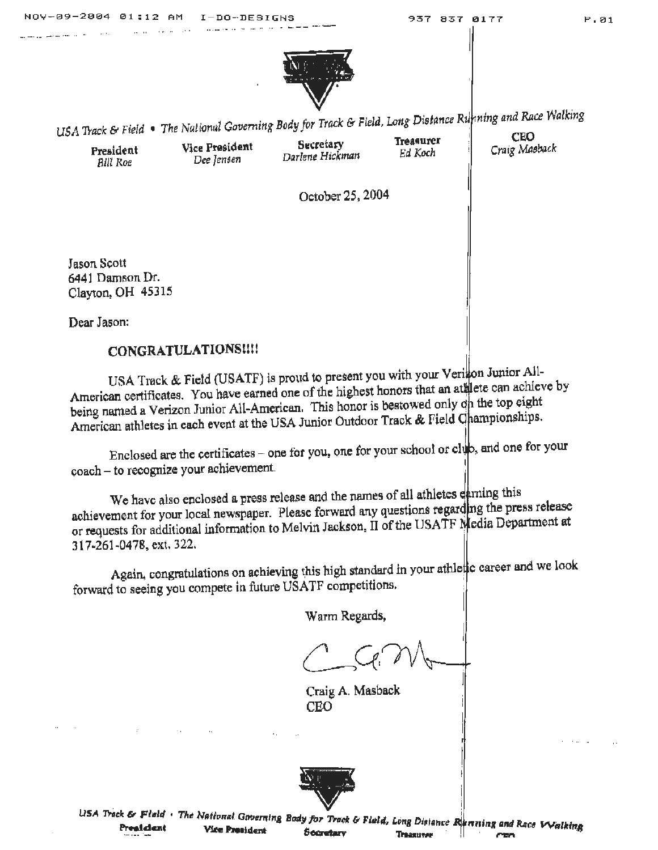

LEA Track & Field • The National Governing Body for Track & Field, Long Distance Running and Race Walking

-·-· ... -···- . .. - .. ·-

**President**<br>**Bill Roe** *Dee lensen**Darlene Hickman**Ed Koch**Craig Masback**Bill Roe* 

**Preaident Vice President Secretary 1Masurer CEO** 

October 25, 2004

Jason Scott 6441 Damson Dr. Clayton, OH 45315

Dear Jason:

## **CONGRATULATIONStU!**

USA Track & Field (USATF) is proud to present you with your Verinon Junior All-American certificates. You have earned one of the highest honors that an at lete can achieve by being named a Verizon Junior All-American. This honor is bestowed only on the top eight American athletes in each event at the USA Junior Outdoor Track & Field Championships.

Enclosed are the certificates - one for you, one for your school or club, and one for your coach - to recognize your achievement.

We have also enclosed a press release and the names of all athletes earning this achievement for your local newspaper. Please forward any questions regarding the press release or requests for additional information to Melvin Jackson, II of the USATF Nedia Department at 317 ~261-04 78. ext. 322. ·

Again, congratulations on achieving this high standard in your athletic career and we look forward to seeing you compete *in* future USATF competitions. '  $\|$ 

Warm Regards,

j

Craig A. Mashack CEO



USA Track & Field • The National Governing Body for Track & Field, Long Distance Renning and Race Walking **President** Vice President Socretary **Trasurer** CEO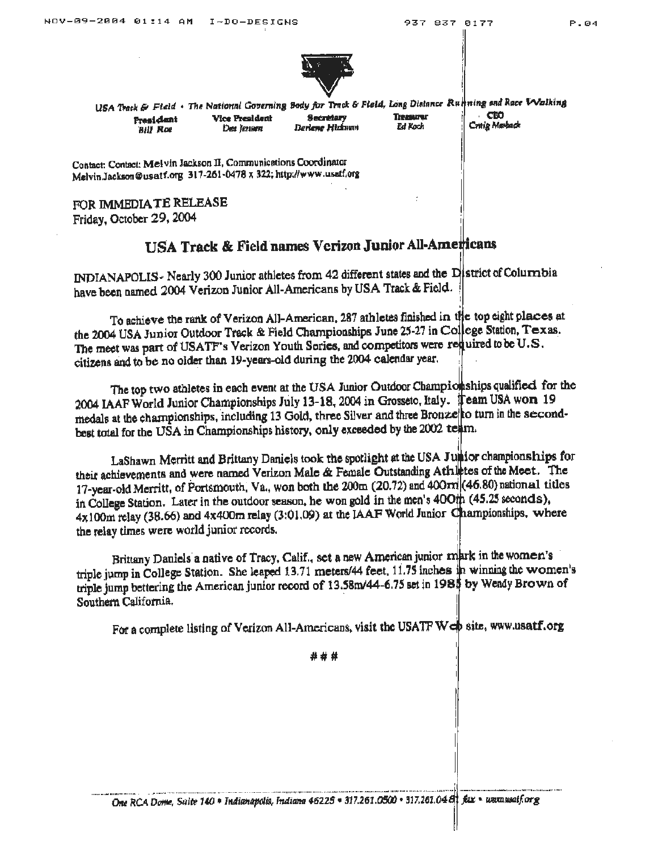

USA Track & Field . The National Governing Body for Track & Field, Long Distance Running and Race V Valking CEO Vice President **Secretary** Treasurer President Craig Mashack Ed Koch Dee Iennen Darlene Hitkman **Bill Roe** 

Contact: Contact: Melvin Jackson II, Communications Coordinator Melvin.Jackson@usatf.org 317-261-0478 x 322; http://www.usaff.org

FOR IMMEDIATE RELEASE Friday, October 29, 2004

## **USA Track & Field names Verizon Junior All-Americans**

INDIANAPOLIS- Nearly 300 Junior athletes from 42 different states and the District of Columbia have been named 2004 Verizon Junior All-Americans by USA Track & Field.

To achieve the rank of Verizon All-American, 287 athletes finished in the top eight places at the 2004 USA Junior Outdoor Track & Field Championships June 25-27 in College Station, Texas. The meet was part of USATF's Verizon Youth Series, and competitors were required to be U.S. citizens and to be no older than 19-years-old during the 2004 calendar year.

The top two athletes in each event at the USA Junior Outdoor Championships qualified for the 2004 IAAF World Junior Championships July 13-18, 2004 in Grosseto, Italy. Team USA won 19 medals at the championships, including 13 Gold, three Silver and three Bronze to turn in the secondbest total for the USA in Championships history, only exceeded by the 2002 team.

LaShawn Merritt and Brittany Daniels took the spotlight at the USA Juntior championships for their achievements and were named Verizon Male & Female Outstanding Athletes of the Meet. The 17-year-old Merritt, of Portsmouth, Va., won both the 200m (20.72) and 400rm (46.80) national titles in College Station. Later in the outdoor season, he won gold in the men's 400th (45.25 seconds), 4x100m relay (38.66) and 4x400m relay (3:01.09) at the IAAF World Junior Championships, where the relay times were world junior records.

Brittany Daniels a native of Tracy, Calif., set a new American junior mark in the women's triple jump in College Station. She leaped 13.71 meters/44 feet, 11.75 inches in winning the women's triple jump bettering the American junior record of 13.58m/44-6.75 set in 1985 by Wendy Brown of Southern California.

For a complete listing of Verizon All-Americans, visit the USATF Web site, www.usatf.org

\*\*\*